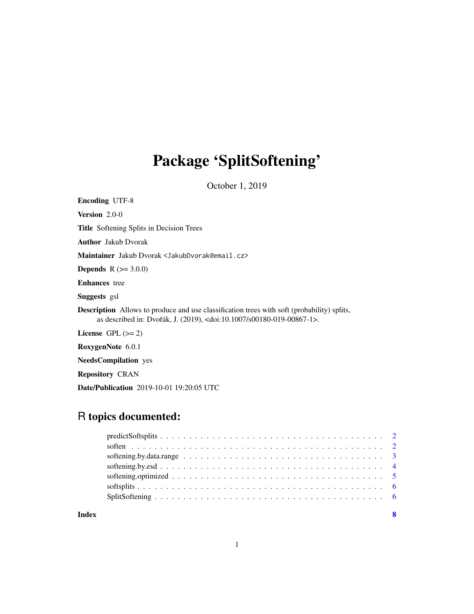## Package 'SplitSoftening'

October 1, 2019

Encoding UTF-8

Version 2.0-0

Title Softening Splits in Decision Trees

Author Jakub Dvorak

Maintainer Jakub Dvorak <JakubDvorak@email.cz>

**Depends**  $R (= 3.0.0)$ 

Enhances tree

Suggests gsl

Description Allows to produce and use classification trees with soft (probability) splits, as described in: Dvořák, J. (2019), <doi:10.1007/s00180-019-00867-1>.

License GPL  $(>= 2)$ 

RoxygenNote 6.0.1

NeedsCompilation yes

Repository CRAN

Date/Publication 2019-10-01 19:20:05 UTC

### R topics documented: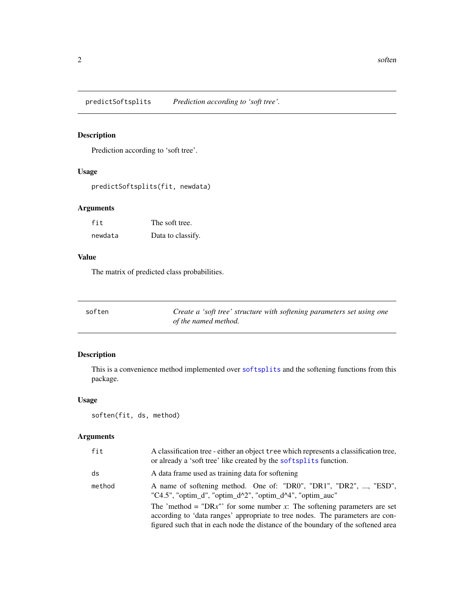<span id="page-1-1"></span><span id="page-1-0"></span>predictSoftsplits *Prediction according to 'soft tree'.*

#### Description

Prediction according to 'soft tree'.

#### Usage

```
predictSoftsplits(fit, newdata)
```
#### Arguments

| fit     | The soft tree.    |
|---------|-------------------|
| newdata | Data to classify. |

#### Value

The matrix of predicted class probabilities.

<span id="page-1-2"></span>

| soften | Create a 'soft tree' structure with softening parameters set using one |
|--------|------------------------------------------------------------------------|
|        | of the named method.                                                   |

### Description

This is a convenience method implemented over [softsplits](#page-5-1) and the softening functions from this package.

#### Usage

```
soften(fit, ds, method)
```
#### Arguments

| fit    | A classification tree - either an object tree which represents a classification tree.<br>or already a 'soft tree' like created by the soft splits function.                                                                                   |
|--------|-----------------------------------------------------------------------------------------------------------------------------------------------------------------------------------------------------------------------------------------------|
| ds     | A data frame used as training data for softening                                                                                                                                                                                              |
| method | A name of softening method. One of: "DR0", "DR1", "DR2", , "ESD",<br>"C4.5", "optim_d", "optim_d^2", "optim_d^4", "optim_auc"                                                                                                                 |
|        | The 'method = "DRx"' for some number x: The softening parameters are set<br>according to 'data ranges' appropriate to tree nodes. The parameters are con-<br>figured such that in each node the distance of the boundary of the softened area |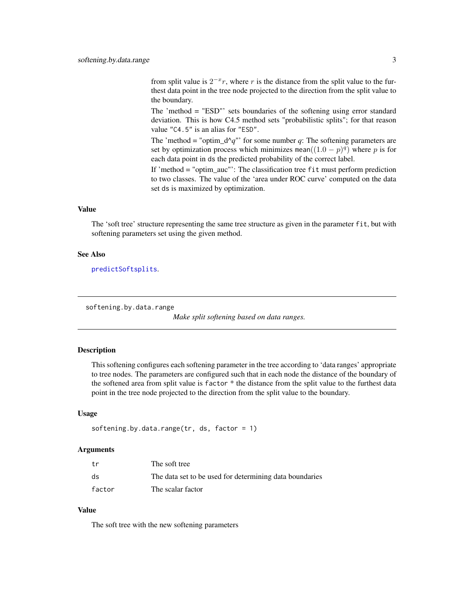<span id="page-2-0"></span>from split value is  $2^{-x}r$ , where r is the distance from the split value to the furthest data point in the tree node projected to the direction from the split value to the boundary.

The 'method = "ESD"' sets boundaries of the softening using error standard deviation. This is how C4.5 method sets "probabilistic splits"; for that reason value "C4.5" is an alias for "ESD".

The 'method = "optim\_d^q"' for some number q: The softening parameters are set by optimization process which minimizes mean $((1.0 - p)^q)$  where p is for each data point in ds the predicted probability of the correct label.

If 'method = "optim\_auc"': The classification tree fit must perform prediction to two classes. The value of the 'area under ROC curve' computed on the data set ds is maximized by optimization.

#### Value

The 'soft tree' structure representing the same tree structure as given in the parameter fit, but with softening parameters set using the given method.

#### See Also

[predictSoftsplits](#page-1-1).

<span id="page-2-1"></span>softening.by.data.range

*Make split softening based on data ranges.*

#### **Description**

This softening configures each softening parameter in the tree according to 'data ranges' appropriate to tree nodes. The parameters are configured such that in each node the distance of the boundary of the softened area from split value is factor \* the distance from the split value to the furthest data point in the tree node projected to the direction from the split value to the boundary.

#### Usage

```
softening.by.data.range(tr, ds, factor = 1)
```
#### **Arguments**

| tr     | The soft tree                                           |
|--------|---------------------------------------------------------|
| ds     | The data set to be used for determining data boundaries |
| factor | The scalar factor                                       |

#### Value

The soft tree with the new softening parameters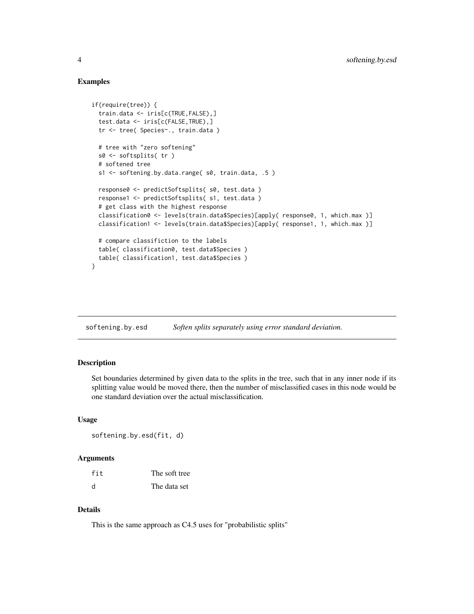#### Examples

```
if(require(tree)) {
 train.data <- iris[c(TRUE,FALSE),]
 test.data <- iris[c(FALSE,TRUE),]
 tr <- tree( Species~., train.data )
 # tree with "zero softening"
 s0 <- softsplits( tr )
 # softened tree
 s1 <- softening.by.data.range( s0, train.data, .5 )
 response0 <- predictSoftsplits( s0, test.data )
 response1 <- predictSoftsplits( s1, test.data )
 # get class with the highest response
 classification0 <- levels(train.data$Species)[apply( response0, 1, which.max )]
 classification1 <- levels(train.data$Species)[apply( response1, 1, which.max )]
 # compare classifiction to the labels
 table( classification0, test.data$Species )
 table( classification1, test.data$Species )
}
```
<span id="page-3-1"></span>softening.by.esd *Soften splits separately using error standard deviation.*

#### Description

Set boundaries determined by given data to the splits in the tree, such that in any inner node if its splitting value would be moved there, then the number of misclassified cases in this node would be one standard deviation over the actual misclassification.

#### Usage

```
softening.by.esd(fit, d)
```
#### **Arguments**

| fit | The soft tree |
|-----|---------------|
| d   | The data set  |

#### Details

This is the same approach as C4.5 uses for "probabilistic splits"

<span id="page-3-0"></span>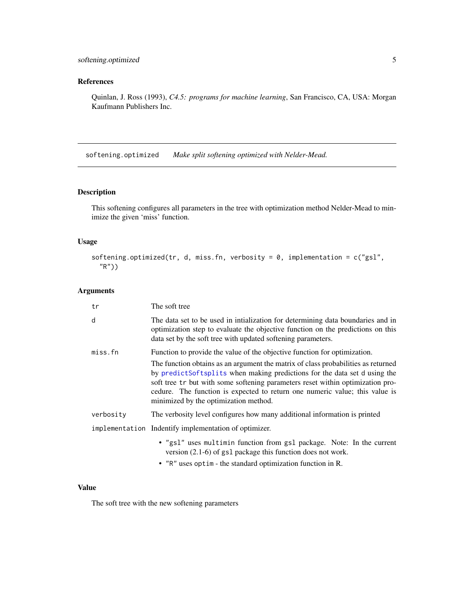#### <span id="page-4-0"></span>References

Quinlan, J. Ross (1993), *C4.5: programs for machine learning*, San Francisco, CA, USA: Morgan Kaufmann Publishers Inc.

<span id="page-4-1"></span>softening.optimized *Make split softening optimized with Nelder-Mead.*

#### Description

This softening configures all parameters in the tree with optimization method Nelder-Mead to minimize the given 'miss' function.

#### Usage

```
softening.optimized(tr, d, miss.fn, verbosity = 0, implementation = c("gsl",
  "R"))
```
#### Arguments

| tr        | The soft tree                                                                                                                                                                                                                                                                                                                                                            |  |
|-----------|--------------------------------------------------------------------------------------------------------------------------------------------------------------------------------------------------------------------------------------------------------------------------------------------------------------------------------------------------------------------------|--|
| d         | The data set to be used in initialization for determining data boundaries and in<br>optimization step to evaluate the objective function on the predictions on this<br>data set by the soft tree with updated softening parameters.                                                                                                                                      |  |
| miss.fn   | Function to provide the value of the objective function for optimization.                                                                                                                                                                                                                                                                                                |  |
|           | The function obtains as an argument the matrix of class probabilities as returned<br>by predictSoftsplits when making predictions for the data set d using the<br>soft tree tr but with some softening parameters reset within optimization pro-<br>cedure. The function is expected to return one numeric value; this value is<br>minimized by the optimization method. |  |
| verbosity | The verbosity level configures how many additional information is printed                                                                                                                                                                                                                                                                                                |  |
|           | implementation Indentify implementation of optimizer.                                                                                                                                                                                                                                                                                                                    |  |
|           | . "gsl" uses multimin function from gsl package. Note: In the current<br>version $(2.1-6)$ of gs1 package this function does not work.                                                                                                                                                                                                                                   |  |
|           | • "R" uses optim - the standard optimization function in R.                                                                                                                                                                                                                                                                                                              |  |

#### Value

The soft tree with the new softening parameters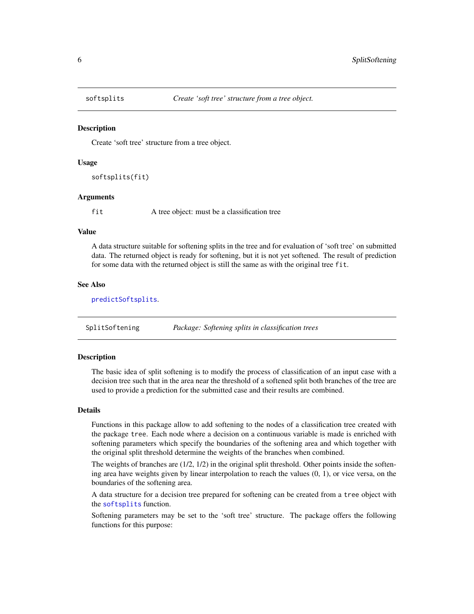<span id="page-5-1"></span><span id="page-5-0"></span>

#### Description

Create 'soft tree' structure from a tree object.

#### Usage

```
softsplits(fit)
```
#### Arguments

fit A tree object: must be a classification tree

#### Value

A data structure suitable for softening splits in the tree and for evaluation of 'soft tree' on submitted data. The returned object is ready for softening, but it is not yet softened. The result of prediction for some data with the returned object is still the same as with the original tree fit.

#### See Also

[predictSoftsplits](#page-1-1).

SplitSoftening *Package: Softening splits in classification trees*

#### Description

The basic idea of split softening is to modify the process of classification of an input case with a decision tree such that in the area near the threshold of a softened split both branches of the tree are used to provide a prediction for the submitted case and their results are combined.

#### Details

Functions in this package allow to add softening to the nodes of a classification tree created with the package tree. Each node where a decision on a continuous variable is made is enriched with softening parameters which specify the boundaries of the softening area and which together with the original split threshold determine the weights of the branches when combined.

The weights of branches are  $(1/2, 1/2)$  in the original split threshold. Other points inside the softening area have weights given by linear interpolation to reach the values (0, 1), or vice versa, on the boundaries of the softening area.

A data structure for a decision tree prepared for softening can be created from a tree object with the [softsplits](#page-5-1) function.

Softening parameters may be set to the 'soft tree' structure. The package offers the following functions for this purpose: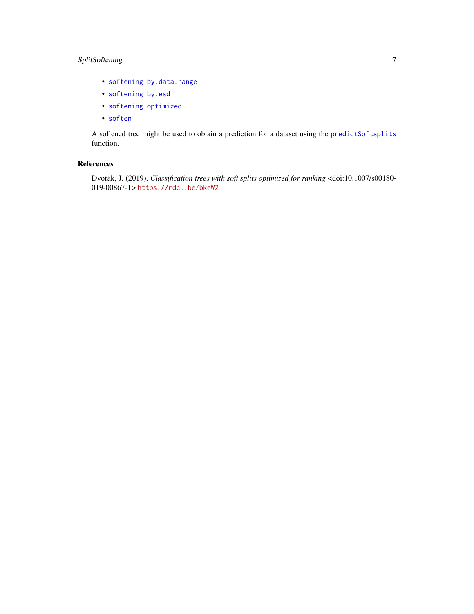#### <span id="page-6-0"></span>SplitSoftening 7

- [softening.by.data.range](#page-2-1)
- [softening.by.esd](#page-3-1)
- [softening.optimized](#page-4-1)
- [soften](#page-1-2)

A softened tree might be used to obtain a prediction for a dataset using the [predictSoftsplits](#page-1-1) function.

#### References

Dvořák, J. (2019), *Classification trees with soft splits optimized for ranking* <doi:10.1007/s00180-019-00867-1> <https://rdcu.be/bkeW2>